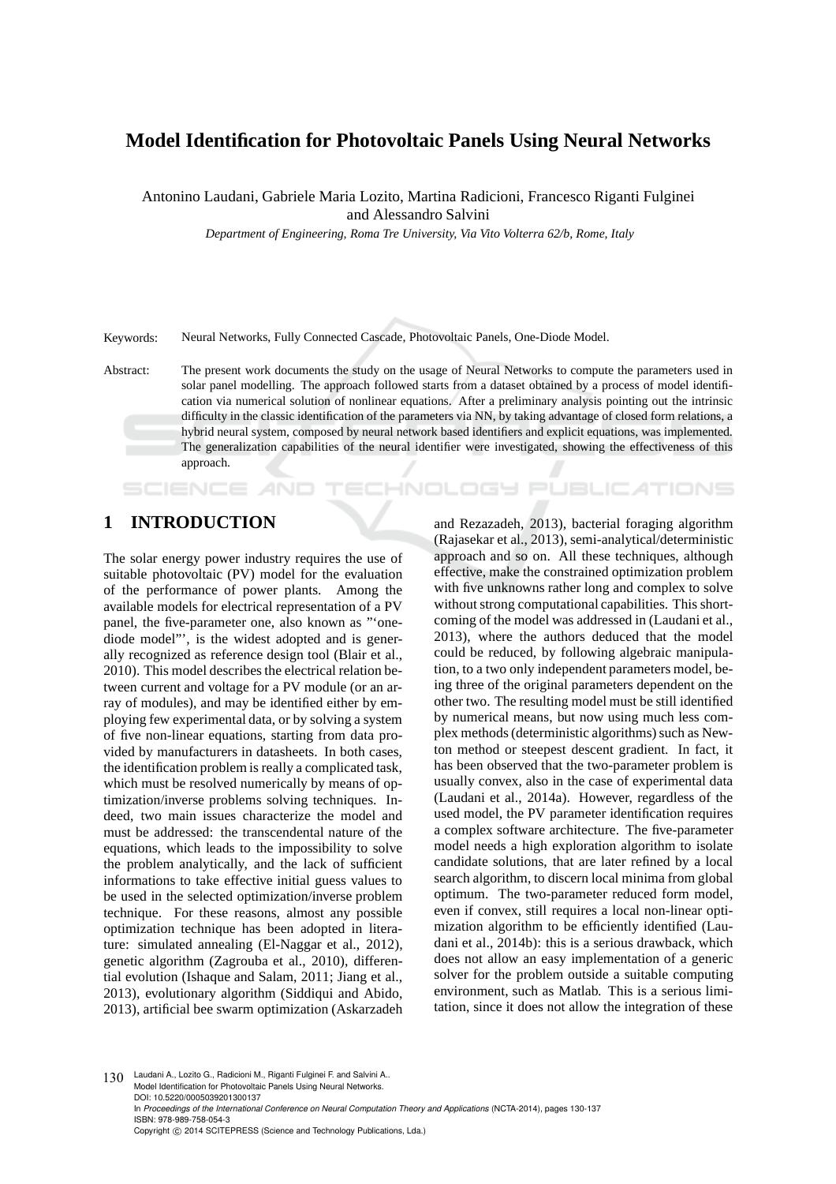# **Model Identification for Photovoltaic Panels Using Neural Networks**

Antonino Laudani, Gabriele Maria Lozito, Martina Radicioni, Francesco Riganti Fulginei and Alessandro Salvini

*Department of Engineering, Roma Tre University, Via Vito Volterra 62/b, Rome, Italy*

Keywords: Neural Networks, Fully Connected Cascade, Photovoltaic Panels, One-Diode Model.

Abstract: The present work documents the study on the usage of Neural Networks to compute the parameters used in solar panel modelling. The approach followed starts from a dataset obtained by a process of model identification via numerical solution of nonlinear equations. After a preliminary analysis pointing out the intrinsic difficulty in the classic identification of the parameters via NN, by taking advantage of closed form relations, a hybrid neural system, composed by neural network based identifiers and explicit equations, was implemented. The generalization capabilities of the neural identifier were investigated, showing the effectiveness of this approach.

-INI

# **1 INTRODUCTION**

SCIENCE

The solar energy power industry requires the use of suitable photovoltaic (PV) model for the evaluation of the performance of power plants. Among the available models for electrical representation of a PV panel, the five-parameter one, also known as "'onediode model"', is the widest adopted and is generally recognized as reference design tool (Blair et al., 2010). This model describes the electrical relation between current and voltage for a PV module (or an array of modules), and may be identified either by employing few experimental data, or by solving a system of five non-linear equations, starting from data provided by manufacturers in datasheets. In both cases, the identification problem is really a complicated task, which must be resolved numerically by means of optimization/inverse problems solving techniques. Indeed, two main issues characterize the model and must be addressed: the transcendental nature of the equations, which leads to the impossibility to solve the problem analytically, and the lack of sufficient informations to take effective initial guess values to be used in the selected optimization/inverse problem technique. For these reasons, almost any possible optimization technique has been adopted in literature: simulated annealing (El-Naggar et al., 2012), genetic algorithm (Zagrouba et al., 2010), differential evolution (Ishaque and Salam, 2011; Jiang et al., 2013), evolutionary algorithm (Siddiqui and Abido, 2013), artificial bee swarm optimization (Askarzadeh

and Rezazadeh, 2013), bacterial foraging algorithm (Rajasekar et al., 2013), semi-analytical/deterministic approach and so on. All these techniques, although effective, make the constrained optimization problem with five unknowns rather long and complex to solve without strong computational capabilities. This shortcoming of the model was addressed in (Laudani et al., 2013), where the authors deduced that the model could be reduced, by following algebraic manipulation, to a two only independent parameters model, being three of the original parameters dependent on the other two. The resulting model must be still identified by numerical means, but now using much less complex methods (deterministic algorithms) such as Newton method or steepest descent gradient. In fact, it has been observed that the two-parameter problem is usually convex, also in the case of experimental data (Laudani et al., 2014a). However, regardless of the used model, the PV parameter identification requires a complex software architecture. The five-parameter model needs a high exploration algorithm to isolate candidate solutions, that are later refined by a local search algorithm, to discern local minima from global optimum. The two-parameter reduced form model, even if convex, still requires a local non-linear optimization algorithm to be efficiently identified (Laudani et al., 2014b): this is a serious drawback, which does not allow an easy implementation of a generic solver for the problem outside a suitable computing environment, such as Matlab. This is a serious limitation, since it does not allow the integration of these

**JBLIC ATIONS** 

130 Laudani A., Lozito G., Radicioni M., Riganti Fulginei F. and Salvini A. Model Identification for Photovoltaic Panels Using Neural Networks. DOI: 10.5220/0005039201300137 In *Proceedings of the International Conference on Neural Computation Theory and Applications* (NCTA-2014), pages 130-137 ISBN: 978-989-758-054-3 Copyright © 2014 SCITEPRESS (Science and Technology Publications, Lda.)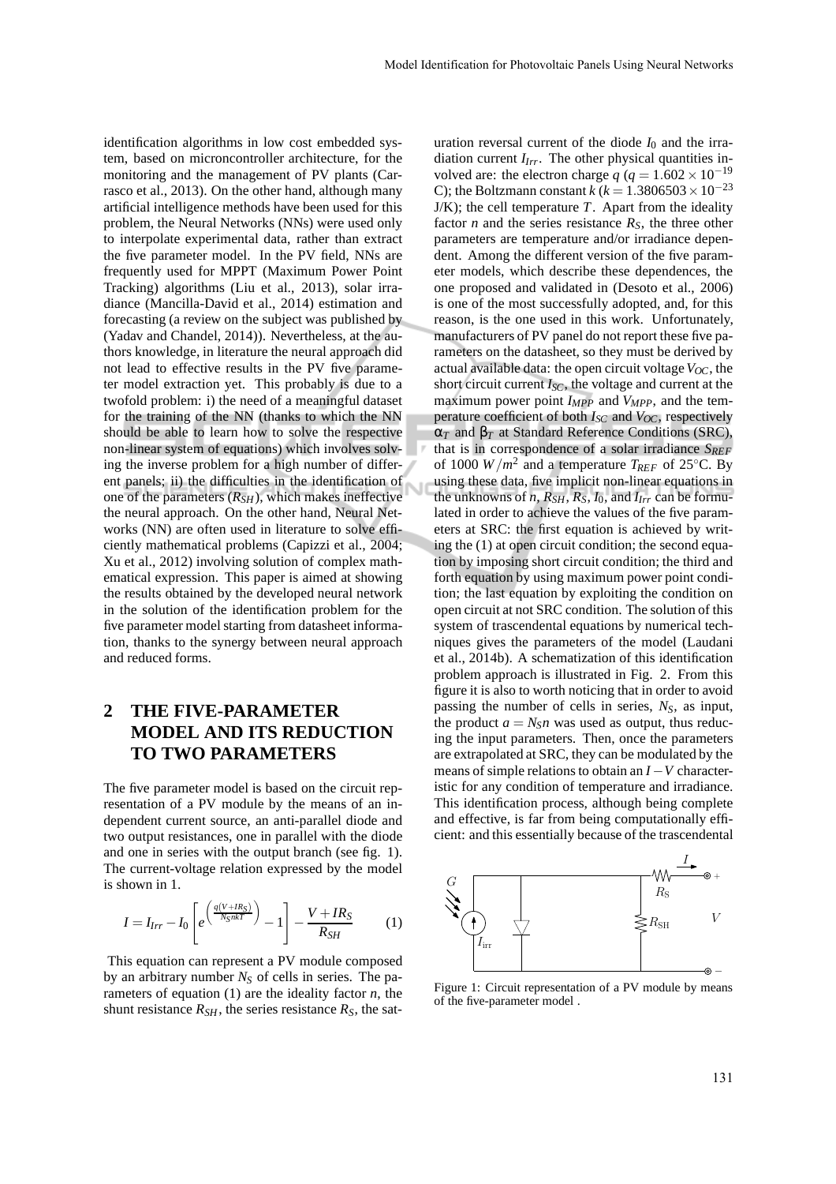identification algorithms in low cost embedded system, based on microncontroller architecture, for the monitoring and the management of PV plants (Carrasco et al., 2013). On the other hand, although many artificial intelligence methods have been used for this problem, the Neural Networks (NNs) were used only to interpolate experimental data, rather than extract the five parameter model. In the PV field, NNs are frequently used for MPPT (Maximum Power Point Tracking) algorithms (Liu et al., 2013), solar irradiance (Mancilla-David et al., 2014) estimation and forecasting (a review on the subject was published by (Yadav and Chandel, 2014)). Nevertheless, at the authors knowledge, in literature the neural approach did not lead to effective results in the PV five parameter model extraction yet. This probably is due to a twofold problem: i) the need of a meaningful dataset for the training of the NN (thanks to which the NN should be able to learn how to solve the respective non-linear system of equations) which involves solving the inverse problem for a high number of different panels; ii) the difficulties in the identification of one of the parameters  $(R_{SH})$ , which makes ineffective the neural approach. On the other hand, Neural Networks (NN) are often used in literature to solve efficiently mathematical problems (Capizzi et al., 2004; Xu et al., 2012) involving solution of complex mathematical expression. This paper is aimed at showing the results obtained by the developed neural network in the solution of the identification problem for the five parameter model starting from datasheet information, thanks to the synergy between neural approach and reduced forms.

# **2 THE FIVE-PARAMETER MODEL AND ITS REDUCTION TO TWO PARAMETERS**

The five parameter model is based on the circuit representation of a PV module by the means of an independent current source, an anti-parallel diode and two output resistances, one in parallel with the diode and one in series with the output branch (see fig. 1). The current-voltage relation expressed by the model is shown in 1.

$$
I = I_{Irr} - I_0 \left[ e^{\left(\frac{q(V + IR_S)}{N_S n kT}\right)} - 1 \right] - \frac{V + IR_S}{R_{SH}} \tag{1}
$$

This equation can represent a PV module composed by an arbitrary number *N<sup>S</sup>* of cells in series. The parameters of equation (1) are the ideality factor *n*, the shunt resistance  $R_{SH}$ , the series resistance  $R_S$ , the saturation reversal current of the diode  $I_0$  and the irradiation current *IIrr*. The other physical quantities involved are: the electron charge  $q$  ( $q = 1.602 \times 10^{-19}$ C); the Boltzmann constant *k* ( $k = 1.3806503 \times 10^{-23}$  $J/K$ ); the cell temperature  $T$ . Apart from the ideality factor *n* and the series resistance  $R<sub>S</sub>$ , the three other parameters are temperature and/or irradiance dependent. Among the different version of the five parameter models, which describe these dependences, the one proposed and validated in (Desoto et al., 2006) is one of the most successfully adopted, and, for this reason, is the one used in this work. Unfortunately, manufacturers of PV panel do not report these five parameters on the datasheet, so they must be derived by actual available data: the open circuit voltage  $V_{OC}$ , the short circuit current *ISC*, the voltage and current at the maximum power point *IMPP* and *VMPP*, and the temperature coefficient of both *ISC* and *VOC*, respectively α*<sup>T</sup>* and β*<sup>T</sup>* at Standard Reference Conditions (SRC), that is in correspondence of a solar irradiance *SREF* of 1000  $W/m^2$  and a temperature *T<sub>REF</sub>* of 25<sup>°</sup>C. By using these data, five implicit non-linear equations in the unknowns of *n*,  $R_{SH}$ ,  $R_S$ ,  $I_0$ , and  $I_{Irr}$  can be formulated in order to achieve the values of the five parameters at SRC: the first equation is achieved by writing the (1) at open circuit condition; the second equation by imposing short circuit condition; the third and forth equation by using maximum power point condition; the last equation by exploiting the condition on open circuit at not SRC condition. The solution of this system of trascendental equations by numerical techniques gives the parameters of the model (Laudani et al., 2014b). A schematization of this identification problem approach is illustrated in Fig. 2. From this figure it is also to worth noticing that in order to avoid passing the number of cells in series, *NS*, as input, the product  $a = N_S n$  was used as output, thus reducing the input parameters. Then, once the parameters are extrapolated at SRC, they can be modulated by the means of simple relations to obtain an *I*−*V* characteristic for any condition of temperature and irradiance. This identification process, although being complete and effective, is far from being computationally efficient: and this essentially because of the trascendental



Figure 1: Circuit representation of a PV module by means of the five-parameter model .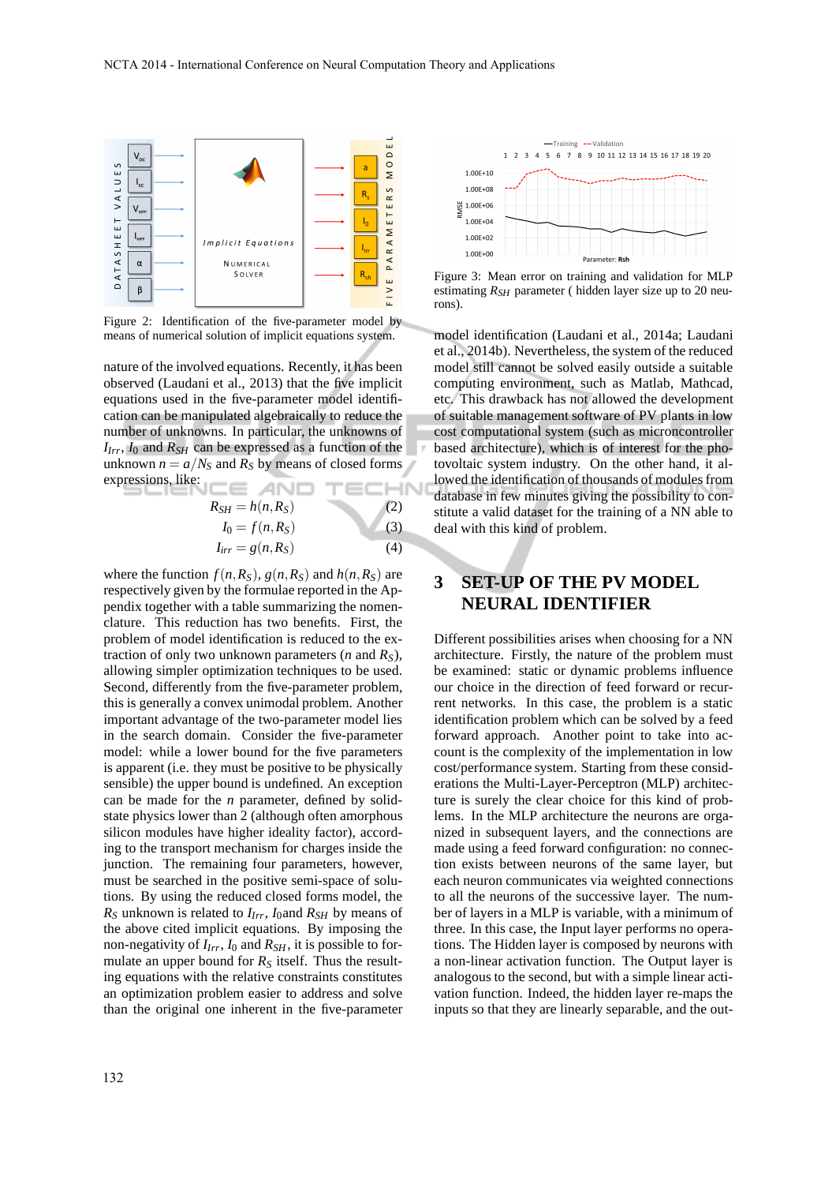

Figure 2: Identification of the five-parameter model by means of numerical solution of implicit equations system.

nature of the involved equations. Recently, it has been observed (Laudani et al., 2013) that the five implicit equations used in the five-parameter model identification can be manipulated algebraically to reduce the number of unknowns. In particular, the unknowns of  $I_{Irr}$ ,  $I_0$  and  $R_{SH}$  can be expressed as a function of the unknown  $n = a/N<sub>S</sub>$  and  $R<sub>S</sub>$  by means of closed forms expressions, like: N

$$
R_{SH} = h(n, R_S) \tag{2}
$$

$$
I_0 = f(n, R_S) \tag{3}
$$

$$
I_{irr} = g(n, R_S) \tag{4}
$$

where the function  $f(n, R_S)$ ,  $g(n, R_S)$  and  $h(n, R_S)$  are respectively given by the formulae reported in the Appendix together with a table summarizing the nomenclature. This reduction has two benefits. First, the problem of model identification is reduced to the extraction of only two unknown parameters  $(n \text{ and } R_S)$ , allowing simpler optimization techniques to be used. Second, differently from the five-parameter problem, this is generally a convex unimodal problem. Another important advantage of the two-parameter model lies in the search domain. Consider the five-parameter model: while a lower bound for the five parameters is apparent (i.e. they must be positive to be physically sensible) the upper bound is undefined. An exception can be made for the *n* parameter, defined by solidstate physics lower than 2 (although often amorphous silicon modules have higher ideality factor), according to the transport mechanism for charges inside the junction. The remaining four parameters, however, must be searched in the positive semi-space of solutions. By using the reduced closed forms model, the  $R<sub>S</sub>$  unknown is related to  $I<sub>Irr</sub>$ ,  $I<sub>0</sub>$  and  $R<sub>SH</sub>$  by means of the above cited implicit equations. By imposing the non-negativity of *IIrr*, *I*<sup>0</sup> and *RSH*, it is possible to formulate an upper bound for  $R<sub>S</sub>$  itself. Thus the resulting equations with the relative constraints constitutes an optimization problem easier to address and solve than the original one inherent in the five-parameter



Figure 3: Mean error on training and validation for MLP estimating  $R_{SH}$  parameter ( hidden layer size up to 20 neurons).

model identification (Laudani et al., 2014a; Laudani et al., 2014b). Nevertheless, the system of the reduced model still cannot be solved easily outside a suitable computing environment, such as Matlab, Mathcad, etc. This drawback has not allowed the development of suitable management software of PV plants in low cost computational system (such as microncontroller based architecture), which is of interest for the photovoltaic system industry. On the other hand, it allowed the identification of thousands of modules from database in few minutes giving the possibility to constitute a valid dataset for the training of a NN able to deal with this kind of problem.

### **3 SET-UP OF THE PV MODEL NEURAL IDENTIFIER**

Different possibilities arises when choosing for a NN architecture. Firstly, the nature of the problem must be examined: static or dynamic problems influence our choice in the direction of feed forward or recurrent networks. In this case, the problem is a static identification problem which can be solved by a feed forward approach. Another point to take into account is the complexity of the implementation in low cost/performance system. Starting from these considerations the Multi-Layer-Perceptron (MLP) architecture is surely the clear choice for this kind of problems. In the MLP architecture the neurons are organized in subsequent layers, and the connections are made using a feed forward configuration: no connection exists between neurons of the same layer, but each neuron communicates via weighted connections to all the neurons of the successive layer. The number of layers in a MLP is variable, with a minimum of three. In this case, the Input layer performs no operations. The Hidden layer is composed by neurons with a non-linear activation function. The Output layer is analogous to the second, but with a simple linear activation function. Indeed, the hidden layer re-maps the inputs so that they are linearly separable, and the out-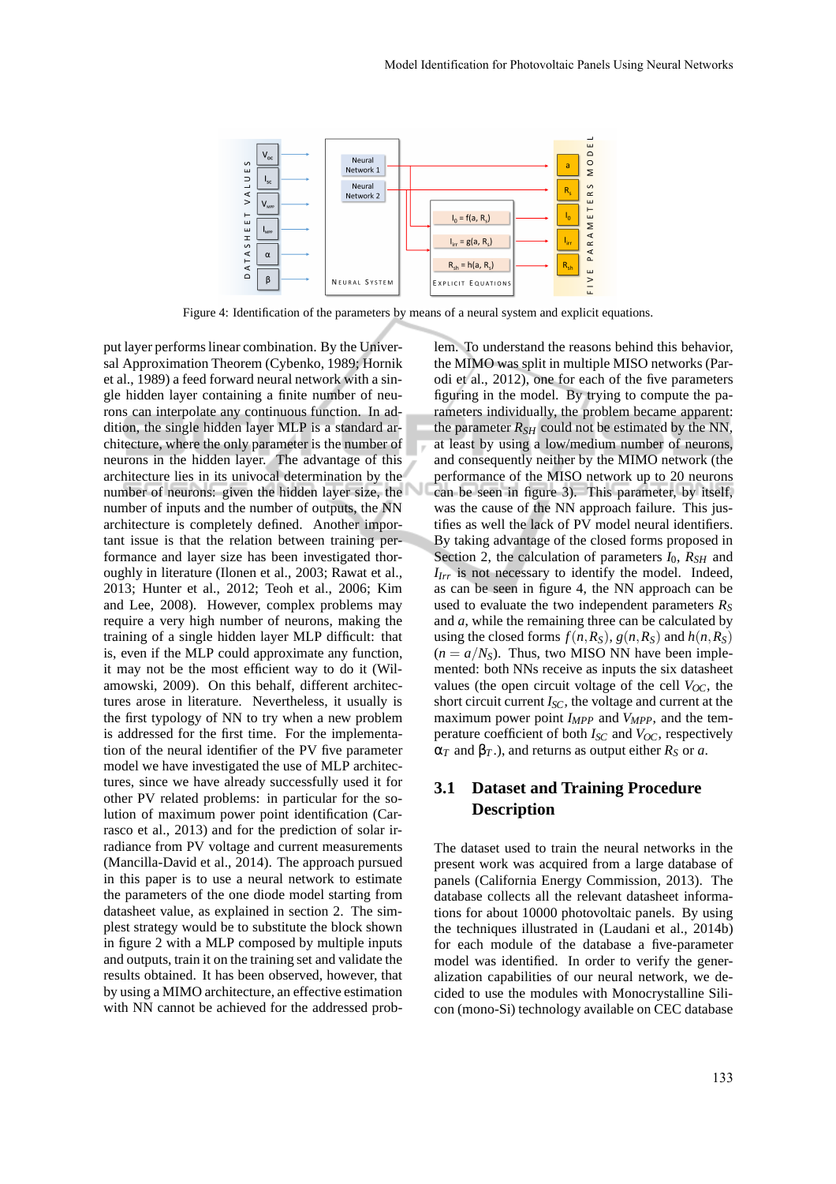

Figure 4: Identification of the parameters by means of a neural system and explicit equations.

put layer performs linear combination. By the Universal Approximation Theorem (Cybenko, 1989; Hornik et al., 1989) a feed forward neural network with a single hidden layer containing a finite number of neurons can interpolate any continuous function. In addition, the single hidden layer MLP is a standard architecture, where the only parameter is the number of neurons in the hidden layer. The advantage of this architecture lies in its univocal determination by the number of neurons: given the hidden layer size, the number of inputs and the number of outputs, the NN architecture is completely defined. Another important issue is that the relation between training performance and layer size has been investigated thoroughly in literature (Ilonen et al., 2003; Rawat et al., 2013; Hunter et al., 2012; Teoh et al., 2006; Kim and Lee, 2008). However, complex problems may require a very high number of neurons, making the training of a single hidden layer MLP difficult: that is, even if the MLP could approximate any function, it may not be the most efficient way to do it (Wilamowski, 2009). On this behalf, different architectures arose in literature. Nevertheless, it usually is the first typology of NN to try when a new problem is addressed for the first time. For the implementation of the neural identifier of the PV five parameter model we have investigated the use of MLP architectures, since we have already successfully used it for other PV related problems: in particular for the solution of maximum power point identification (Carrasco et al., 2013) and for the prediction of solar irradiance from PV voltage and current measurements (Mancilla-David et al., 2014). The approach pursued in this paper is to use a neural network to estimate the parameters of the one diode model starting from datasheet value, as explained in section 2. The simplest strategy would be to substitute the block shown in figure 2 with a MLP composed by multiple inputs and outputs, train it on the training set and validate the results obtained. It has been observed, however, that by using a MIMO architecture, an effective estimation with NN cannot be achieved for the addressed problem. To understand the reasons behind this behavior, the MIMO was split in multiple MISO networks (Parodi et al., 2012), one for each of the five parameters figuring in the model. By trying to compute the parameters individually, the problem became apparent: the parameter  $R_{SH}$  could not be estimated by the NN, at least by using a low/medium number of neurons, and consequently neither by the MIMO network (the performance of the MISO network up to 20 neurons can be seen in figure 3). This parameter, by itself, was the cause of the NN approach failure. This justifies as well the lack of PV model neural identifiers. By taking advantage of the closed forms proposed in Section 2, the calculation of parameters *I*0, *RSH* and *IIrr* is not necessary to identify the model. Indeed, as can be seen in figure 4, the NN approach can be used to evaluate the two independent parameters *R<sup>S</sup>* and *a*, while the remaining three can be calculated by using the closed forms  $f(n, R_S)$ ,  $g(n, R_S)$  and  $h(n, R_S)$  $(n = a/N<sub>S</sub>)$ . Thus, two MISO NN have been implemented: both NNs receive as inputs the six datasheet values (the open circuit voltage of the cell  $V_{OC}$ , the short circuit current *ISC*, the voltage and current at the maximum power point *IMPP* and *VMPP*, and the temperature coefficient of both *ISC* and *VOC*, respectively  $\alpha_T$  and  $\beta_T$ .), and returns as output either  $R_S$  or *a*.

#### **3.1 Dataset and Training Procedure Description**

The dataset used to train the neural networks in the present work was acquired from a large database of panels (California Energy Commission, 2013). The database collects all the relevant datasheet informations for about 10000 photovoltaic panels. By using the techniques illustrated in (Laudani et al., 2014b) for each module of the database a five-parameter model was identified. In order to verify the generalization capabilities of our neural network, we decided to use the modules with Monocrystalline Silicon (mono-Si) technology available on CEC database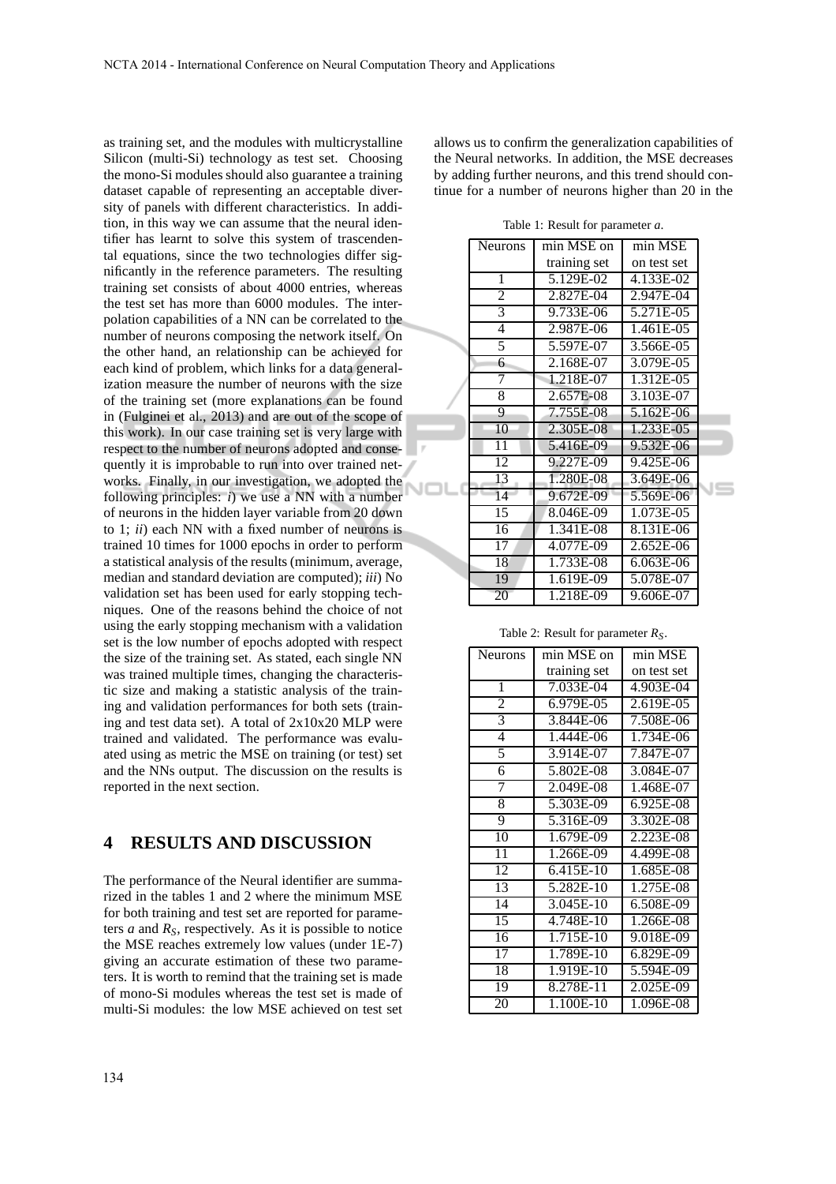as training set, and the modules with multicrystalline Silicon (multi-Si) technology as test set. Choosing the mono-Si modules should also guarantee a training dataset capable of representing an acceptable diversity of panels with different characteristics. In addition, in this way we can assume that the neural identifier has learnt to solve this system of trascendental equations, since the two technologies differ significantly in the reference parameters. The resulting training set consists of about 4000 entries, whereas the test set has more than 6000 modules. The interpolation capabilities of a NN can be correlated to the number of neurons composing the network itself. On the other hand, an relationship can be achieved for each kind of problem, which links for a data generalization measure the number of neurons with the size of the training set (more explanations can be found in (Fulginei et al., 2013) and are out of the scope of this work). In our case training set is very large with respect to the number of neurons adopted and consequently it is improbable to run into over trained networks. Finally, in our investigation, we adopted the NI following principles: *i*) we use a NN with a number of neurons in the hidden layer variable from 20 down to 1; *ii*) each NN with a fixed number of neurons is trained 10 times for 1000 epochs in order to perform a statistical analysis of the results (minimum, average, median and standard deviation are computed); *iii*) No validation set has been used for early stopping techniques. One of the reasons behind the choice of not using the early stopping mechanism with a validation set is the low number of epochs adopted with respect the size of the training set. As stated, each single NN was trained multiple times, changing the characteristic size and making a statistic analysis of the training and validation performances for both sets (training and test data set). A total of 2x10x20 MLP were trained and validated. The performance was evaluated using as metric the MSE on training (or test) set and the NNs output. The discussion on the results is reported in the next section.

#### **4 RESULTS AND DISCUSSION**

The performance of the Neural identifier are summarized in the tables 1 and 2 where the minimum MSE for both training and test set are reported for parameters *a* and *RS*, respectively. As it is possible to notice the MSE reaches extremely low values (under 1E-7) giving an accurate estimation of these two parameters. It is worth to remind that the training set is made of mono-Si modules whereas the test set is made of multi-Si modules: the low MSE achieved on test set

Table 1: Result for parameter *a*.  $\sqrt{\frac{N_{\text{ellrons}}}{N_{\text{min}}}}$  min MSE

|  | 1 10 U.I VII.   | шш заргон    | шш зарт     |  |
|--|-----------------|--------------|-------------|--|
|  |                 | training set | on test set |  |
|  | 1               | 5.129E-02    | 4.133E-02   |  |
|  | 2               | 2.827E-04    | 2.947E-04   |  |
|  | 3               | 9.733E-06    | 5.271E-05   |  |
|  | 4               | 2.987E-06    | 1.461E-05   |  |
|  | 5               | 5.597E-07    | 3.566E-05   |  |
|  | 6               | 2.168E-07    | 3.079E-05   |  |
|  | 7               | 1.218E-07    | 1.312E-05   |  |
|  | 8               | 2.657E-08    | 3.103E-07   |  |
|  | 9               | 7.755E-08    | 5.162E-06   |  |
|  | 10              | 2.305E-08    | 1.233E-05   |  |
|  | $\overline{11}$ | 5.416E-09    | 9.532E-06   |  |
|  | 12              | 9.227E-09    | 9.425E-06   |  |
|  | 13              | 1.280E-08    | 3.649E-06   |  |
|  | 14              | 9.672E-09    | 5.569E-06   |  |
|  | 15              | 8.046E-09    | 1.073E-05   |  |
|  | 16              | 1.341E-08    | 8.131E-06   |  |
|  | 17              | 4.077E-09    | 2.652E-06   |  |
|  | 18              | 1.733E-08    | 6.063E-06   |  |
|  | 19              | 1.619E-09    | 5.078E-07   |  |
|  | 20              | 1.218E-09    | 9.606E-07   |  |

allows us to confirm the generalization capabilities of the Neural networks. In addition, the MSE decreases by adding further neurons, and this trend should continue for a number of neurons higher than 20 in the

Table 2: Result for parameter *RS*.

| Neurons         | min MSE on   | min MSE       |
|-----------------|--------------|---------------|
|                 | training set | on test set   |
| $\mathbf{1}$    | 7.033E-04    | 4.903E-04     |
| $\overline{2}$  | 6.979E-05    | 2.619E-05     |
| 3               | 3.844E-06    | 7.508E-06     |
| 4               | 1.444E-06    | 1.734E-06     |
| 5               | 3.914E-07    | 7.847E-07     |
| 6               | 5.802E-08    | 3.084E-07     |
| 7               | 2.049E-08    | 1.468E-07     |
| 8               | 5.303E-09    | 6.925E-08     |
| 9               | $5.316E-09$  | 3.302E-08     |
| 10              | 1.679E-09    | 2.223E-08     |
| 11              | 1.266E-09    | 4.499E-08     |
| 12              | 6.415E-10    | 1.685E-08     |
| $\overline{13}$ | 5.282E-10    | 1.275E-08     |
| 14              | 3.045E-10    | $6.508E - 09$ |
| 15              | 4.748E-10    | 1.266E-08     |
| 16              | 1.715E-10    | 9.018E-09     |
| 17              | 1.789E-10    | 6.829E-09     |
| 18              | 1.919E-10    | 5.594E-09     |
| 19              | 8.278E-11    | 2.025E-09     |
| 20              | 1.100E-10    | 1.096E-08     |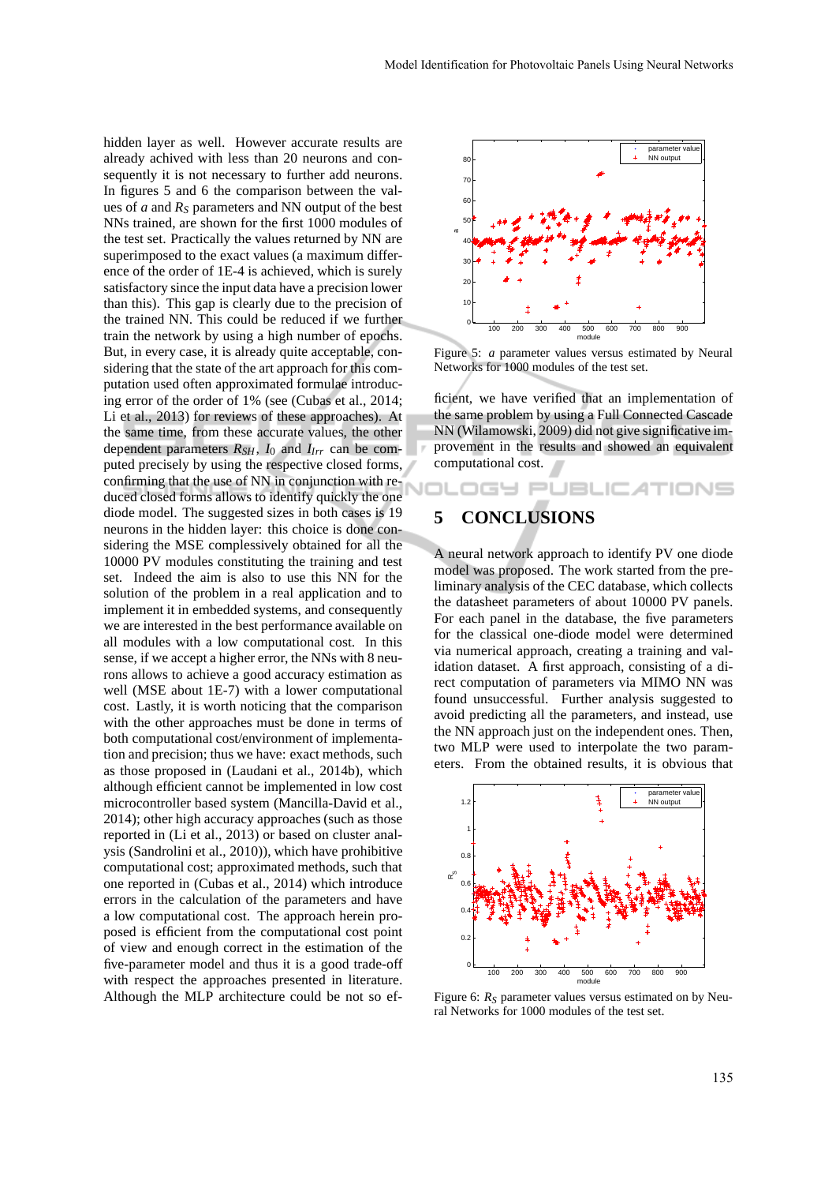hidden layer as well. However accurate results are already achived with less than 20 neurons and consequently it is not necessary to further add neurons. In figures 5 and 6 the comparison between the values of *a* and *R<sup>S</sup>* parameters and NN output of the best NNs trained, are shown for the first 1000 modules of the test set. Practically the values returned by NN are superimposed to the exact values (a maximum difference of the order of 1E-4 is achieved, which is surely satisfactory since the input data have a precision lower than this). This gap is clearly due to the precision of the trained NN. This could be reduced if we further train the network by using a high number of epochs. But, in every case, it is already quite acceptable, considering that the state of the art approach for this computation used often approximated formulae introducing error of the order of 1% (see (Cubas et al., 2014; Li et al., 2013) for reviews of these approaches). At the same time, from these accurate values, the other dependent parameters  $R_{SH}$ ,  $I_0$  and  $I_{Irr}$  can be computed precisely by using the respective closed forms, puted precisely by  $\frac{1}{2}$  confirming that the use of NN in conjunction with reduced closed forms allows to identify quickly the one diode model. The suggested sizes in both cases is 19 neurons in the hidden layer: this choice is done considering the MSE complessively obtained for all the 10000 PV modules constituting the training and test set. Indeed the aim is also to use this NN for the solution of the problem in a real application and to implement it in embedded systems, and consequently we are interested in the best performance available on all modules with a low computational cost. In this sense, if we accept a higher error, the NNs with 8 neurons allows to achieve a good accuracy estimation as well (MSE about 1E-7) with a lower computational cost. Lastly, it is worth noticing that the comparison with the other approaches must be done in terms of both computational cost/environment of implementation and precision; thus we have: exact methods, such as those proposed in (Laudani et al., 2014b), which although efficient cannot be implemented in low cost microcontroller based system (Mancilla-David et al., 2014); other high accuracy approaches (such as those reported in (Li et al., 2013) or based on cluster analysis (Sandrolini et al., 2010)), which have prohibitive computational cost; approximated methods, such that one reported in (Cubas et al., 2014) which introduce errors in the calculation of the parameters and have a low computational cost. The approach herein proposed is efficient from the computational cost point of view and enough correct in the estimation of the five-parameter model and thus it is a good trade-off with respect the approaches presented in literature. Although the MLP architecture could be not so ef-



Figure 5: *a* parameter values versus estimated by Neural Networks for 1000 modules of the test set.

ficient, we have verified that an implementation of the same problem by using a Full Connected Cascade NN (Wilamowski, 2009) did not give significative improvement in the results and showed an equivalent computational cost.

DGY PUBLIC AT

# **5 CONCLUSIONS**

A neural network approach to identify PV one diode model was proposed. The work started from the preliminary analysis of the CEC database, which collects the datasheet parameters of about 10000 PV panels. For each panel in the database, the five parameters for the classical one-diode model were determined via numerical approach, creating a training and validation dataset. A first approach, consisting of a direct computation of parameters via MIMO NN was found unsuccessful. Further analysis suggested to avoid predicting all the parameters, and instead, use the NN approach just on the independent ones. Then, two MLP were used to interpolate the two parameters. From the obtained results, it is obvious that



Figure 6:  $R<sub>S</sub>$  parameter values versus estimated on by Neural Networks for 1000 modules of the test set.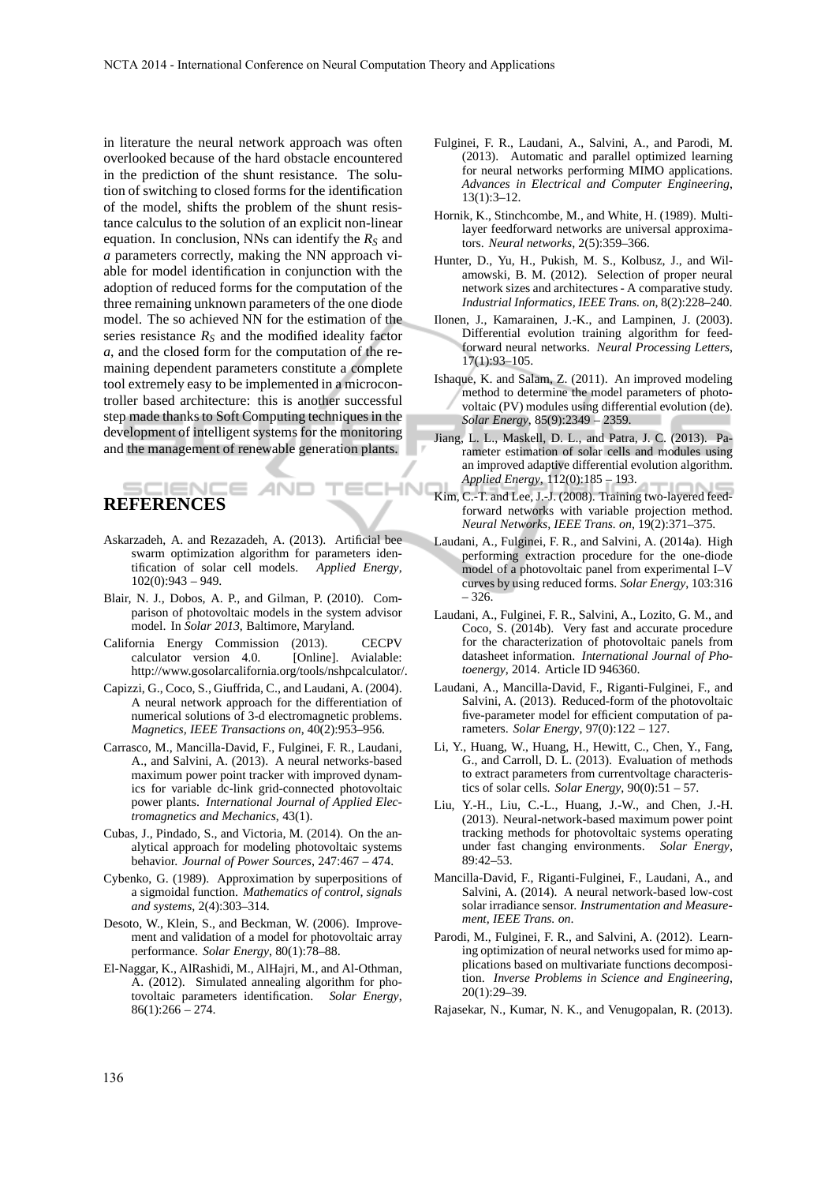$H N$ 

in literature the neural network approach was often overlooked because of the hard obstacle encountered in the prediction of the shunt resistance. The solution of switching to closed forms for the identification of the model, shifts the problem of the shunt resistance calculus to the solution of an explicit non-linear equation. In conclusion, NNs can identify the *R<sup>S</sup>* and *a* parameters correctly, making the NN approach viable for model identification in conjunction with the adoption of reduced forms for the computation of the three remaining unknown parameters of the one diode model. The so achieved NN for the estimation of the series resistance  $R<sub>S</sub>$  and the modified ideality factor *a*, and the closed form for the computation of the remaining dependent parameters constitute a complete tool extremely easy to be implemented in a microcontroller based architecture: this is another successful step made thanks to Soft Computing techniques in the development of intelligent systems for the monitoring and the management of renewable generation plants.

# **REFERENCES**

- Askarzadeh, A. and Rezazadeh, A. (2013). Artificial bee swarm optimization algorithm for parameters identification of solar cell models. *Applied Energy*,  $102(0):943 - 949.$
- Blair, N. J., Dobos, A. P., and Gilman, P. (2010). Comparison of photovoltaic models in the system advisor model. In *Solar 2013*, Baltimore, Maryland.
- California Energy Commission (2013). CECPV calculator version 4.0. [Online]. Avialable: http://www.gosolarcalifornia.org/tools/nshpcalculator/.
- Capizzi, G., Coco, S., Giuffrida, C., and Laudani, A. (2004). A neural network approach for the differentiation of numerical solutions of 3-d electromagnetic problems. *Magnetics, IEEE Transactions on*, 40(2):953–956.
- Carrasco, M., Mancilla-David, F., Fulginei, F. R., Laudani, A., and Salvini, A. (2013). A neural networks-based maximum power point tracker with improved dynamics for variable dc-link grid-connected photovoltaic power plants. *International Journal of Applied Electromagnetics and Mechanics*, 43(1).
- Cubas, J., Pindado, S., and Victoria, M. (2014). On the analytical approach for modeling photovoltaic systems behavior. *Journal of Power Sources*, 247:467 – 474.
- Cybenko, G. (1989). Approximation by superpositions of a sigmoidal function. *Mathematics of control, signals and systems*, 2(4):303–314.
- Desoto, W., Klein, S., and Beckman, W. (2006). Improvement and validation of a model for photovoltaic array performance. *Solar Energy*, 80(1):78–88.
- El-Naggar, K., AlRashidi, M., AlHajri, M., and Al-Othman, A. (2012). Simulated annealing algorithm for photovoltaic parameters identification. *Solar Energy*,  $86(1):266 - 274.$
- Fulginei, F. R., Laudani, A., Salvini, A., and Parodi, M. (2013). Automatic and parallel optimized learning for neural networks performing MIMO applications. *Advances in Electrical and Computer Engineering*, 13(1):3–12.
- Hornik, K., Stinchcombe, M., and White, H. (1989). Multilayer feedforward networks are universal approximators. *Neural networks*, 2(5):359–366.
- Hunter, D., Yu, H., Pukish, M. S., Kolbusz, J., and Wilamowski, B. M. (2012). Selection of proper neural network sizes and architectures - A comparative study. *Industrial Informatics, IEEE Trans. on*, 8(2):228–240.
- Ilonen, J., Kamarainen, J.-K., and Lampinen, J. (2003). Differential evolution training algorithm for feedforward neural networks. *Neural Processing Letters*, 17(1):93–105.
- Ishaque, K. and Salam, Z. (2011). An improved modeling method to determine the model parameters of photovoltaic (PV) modules using differential evolution (de). *Solar Energy*, 85(9):2349 – 2359.
- Jiang, L. L., Maskell, D. L., and Patra, J. C. (2013). Parameter estimation of solar cells and modules using an improved adaptive differential evolution algorithm. *Applied Energy*, 112(0):185 – 193.
- Kim, C.-T. and Lee, J.-J. (2008). Training two-layered feedforward networks with variable projection method. *Neural Networks, IEEE Trans. on*, 19(2):371–375.
- Laudani, A., Fulginei, F. R., and Salvini, A. (2014a). High performing extraction procedure for the one-diode model of a photovoltaic panel from experimental I–V curves by using reduced forms. *Solar Energy*, 103:316 – 326.
- Laudani, A., Fulginei, F. R., Salvini, A., Lozito, G. M., and Coco, S. (2014b). Very fast and accurate procedure for the characterization of photovoltaic panels from datasheet information. *International Journal of Photoenergy*, 2014. Article ID 946360.
- Laudani, A., Mancilla-David, F., Riganti-Fulginei, F., and Salvini, A. (2013). Reduced-form of the photovoltaic five-parameter model for efficient computation of parameters. *Solar Energy*, 97(0):122 – 127.
- Li, Y., Huang, W., Huang, H., Hewitt, C., Chen, Y., Fang, G., and Carroll, D. L. (2013). Evaluation of methods to extract parameters from currentvoltage characteristics of solar cells. *Solar Energy*, 90(0):51 – 57.
- Liu, Y.-H., Liu, C.-L., Huang, J.-W., and Chen, J.-H. (2013). Neural-network-based maximum power point tracking methods for photovoltaic systems operating under fast changing environments. *Solar Energy*, 89:42–53.
- Mancilla-David, F., Riganti-Fulginei, F., Laudani, A., and Salvini, A. (2014). A neural network-based low-cost solar irradiance sensor. *Instrumentation and Measurement, IEEE Trans. on*.
- Parodi, M., Fulginei, F. R., and Salvini, A. (2012). Learning optimization of neural networks used for mimo applications based on multivariate functions decomposition. *Inverse Problems in Science and Engineering*, 20(1):29–39.
- Rajasekar, N., Kumar, N. K., and Venugopalan, R. (2013).